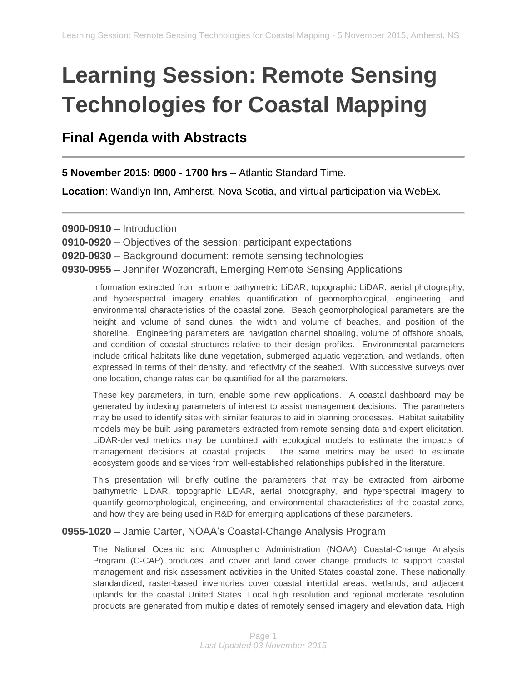# **Learning Session: Remote Sensing Technologies for Coastal Mapping**

# **Final Agenda with Abstracts**

**5 November 2015: 0900 - 1700 hrs** – Atlantic Standard Time.

**Location**: Wandlyn Inn, Amherst, Nova Scotia, and virtual participation via WebEx.

**0900-0910** – Introduction

**0910-0920** – Objectives of the session; participant expectations

**0920-0930** – Background document: remote sensing technologies

**0930-0955** – Jennifer Wozencraft, Emerging Remote Sensing Applications

Information extracted from airborne bathymetric LiDAR, topographic LiDAR, aerial photography, and hyperspectral imagery enables quantification of geomorphological, engineering, and environmental characteristics of the coastal zone. Beach geomorphological parameters are the height and volume of sand dunes, the width and volume of beaches, and position of the shoreline. Engineering parameters are navigation channel shoaling, volume of offshore shoals, and condition of coastal structures relative to their design profiles. Environmental parameters include critical habitats like dune vegetation, submerged aquatic vegetation, and wetlands, often expressed in terms of their density, and reflectivity of the seabed. With successive surveys over one location, change rates can be quantified for all the parameters.

These key parameters, in turn, enable some new applications. A coastal dashboard may be generated by indexing parameters of interest to assist management decisions. The parameters may be used to identify sites with similar features to aid in planning processes. Habitat suitability models may be built using parameters extracted from remote sensing data and expert elicitation. LiDAR-derived metrics may be combined with ecological models to estimate the impacts of management decisions at coastal projects. The same metrics may be used to estimate ecosystem goods and services from well-established relationships published in the literature.

This presentation will briefly outline the parameters that may be extracted from airborne bathymetric LiDAR, topographic LiDAR, aerial photography, and hyperspectral imagery to quantify geomorphological, engineering, and environmental characteristics of the coastal zone, and how they are being used in R&D for emerging applications of these parameters.

#### **0955-1020** – Jamie Carter, NOAA's Coastal-Change Analysis Program

The National Oceanic and Atmospheric Administration (NOAA) Coastal-Change Analysis Program (C-CAP) produces land cover and land cover change products to support coastal management and risk assessment activities in the United States coastal zone. These nationally standardized, raster-based inventories cover coastal intertidal areas, wetlands, and adjacent uplands for the coastal United States. Local high resolution and regional moderate resolution products are generated from multiple dates of remotely sensed imagery and elevation data. High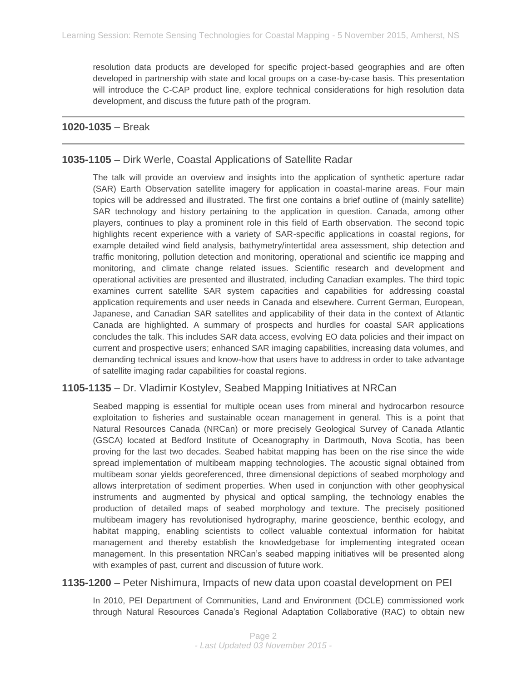resolution data products are developed for specific project-based geographies and are often developed in partnership with state and local groups on a case-by-case basis. This presentation will introduce the C-CAP product line, explore technical considerations for high resolution data development, and discuss the future path of the program.

#### **1020-1035** – Break

#### **1035-1105** – Dirk Werle, Coastal Applications of Satellite Radar

The talk will provide an overview and insights into the application of synthetic aperture radar (SAR) Earth Observation satellite imagery for application in coastal-marine areas. Four main topics will be addressed and illustrated. The first one contains a brief outline of (mainly satellite) SAR technology and history pertaining to the application in question. Canada, among other players, continues to play a prominent role in this field of Earth observation. The second topic highlights recent experience with a variety of SAR-specific applications in coastal regions, for example detailed wind field analysis, bathymetry/intertidal area assessment, ship detection and traffic monitoring, pollution detection and monitoring, operational and scientific ice mapping and monitoring, and climate change related issues. Scientific research and development and operational activities are presented and illustrated, including Canadian examples. The third topic examines current satellite SAR system capacities and capabilities for addressing coastal application requirements and user needs in Canada and elsewhere. Current German, European, Japanese, and Canadian SAR satellites and applicability of their data in the context of Atlantic Canada are highlighted. A summary of prospects and hurdles for coastal SAR applications concludes the talk. This includes SAR data access, evolving EO data policies and their impact on current and prospective users; enhanced SAR imaging capabilities, increasing data volumes, and demanding technical issues and know-how that users have to address in order to take advantage of satellite imaging radar capabilities for coastal regions.

#### **1105-1135** – Dr. Vladimir Kostylev, Seabed Mapping Initiatives at NRCan

Seabed mapping is essential for multiple ocean uses from mineral and hydrocarbon resource exploitation to fisheries and sustainable ocean management in general. This is a point that Natural Resources Canada (NRCan) or more precisely Geological Survey of Canada Atlantic (GSCA) located at Bedford Institute of Oceanography in Dartmouth, Nova Scotia, has been proving for the last two decades. Seabed habitat mapping has been on the rise since the wide spread implementation of multibeam mapping technologies. The acoustic signal obtained from multibeam sonar yields georeferenced, three dimensional depictions of seabed morphology and allows interpretation of sediment properties. When used in conjunction with other geophysical instruments and augmented by physical and optical sampling, the technology enables the production of detailed maps of seabed morphology and texture. The precisely positioned multibeam imagery has revolutionised hydrography, marine geoscience, benthic ecology, and habitat mapping, enabling scientists to collect valuable contextual information for habitat management and thereby establish the knowledgebase for implementing integrated ocean management. In this presentation NRCan's seabed mapping initiatives will be presented along with examples of past, current and discussion of future work.

**1135-1200** – Peter Nishimura, Impacts of new data upon coastal development on PEI

In 2010, PEI Department of Communities, Land and Environment (DCLE) commissioned work through Natural Resources Canada's Regional Adaptation Collaborative (RAC) to obtain new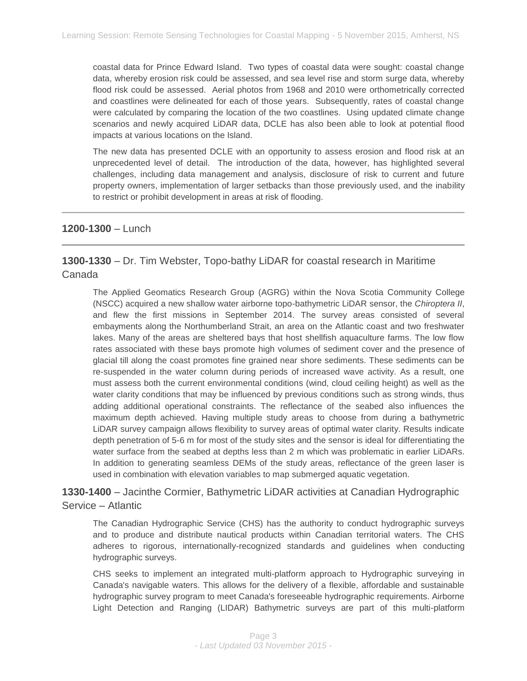coastal data for Prince Edward Island. Two types of coastal data were sought: coastal change data, whereby erosion risk could be assessed, and sea level rise and storm surge data, whereby flood risk could be assessed. Aerial photos from 1968 and 2010 were orthometrically corrected and coastlines were delineated for each of those years. Subsequently, rates of coastal change were calculated by comparing the location of the two coastlines. Using updated climate change scenarios and newly acquired LiDAR data, DCLE has also been able to look at potential flood impacts at various locations on the Island.

The new data has presented DCLE with an opportunity to assess erosion and flood risk at an unprecedented level of detail. The introduction of the data, however, has highlighted several challenges, including data management and analysis, disclosure of risk to current and future property owners, implementation of larger setbacks than those previously used, and the inability to restrict or prohibit development in areas at risk of flooding.

#### **1200-1300** – Lunch

# **1300-1330** – Dr. Tim Webster, Topo-bathy LiDAR for coastal research in Maritime Canada

The Applied Geomatics Research Group (AGRG) within the Nova Scotia Community College (NSCC) acquired a new shallow water airborne topo-bathymetric LiDAR sensor, the *Chiroptera II*, and flew the first missions in September 2014. The survey areas consisted of several embayments along the Northumberland Strait, an area on the Atlantic coast and two freshwater lakes. Many of the areas are sheltered bays that host shellfish aquaculture farms. The low flow rates associated with these bays promote high volumes of sediment cover and the presence of glacial till along the coast promotes fine grained near shore sediments. These sediments can be re-suspended in the water column during periods of increased wave activity. As a result, one must assess both the current environmental conditions (wind, cloud ceiling height) as well as the water clarity conditions that may be influenced by previous conditions such as strong winds, thus adding additional operational constraints. The reflectance of the seabed also influences the maximum depth achieved. Having multiple study areas to choose from during a bathymetric LiDAR survey campaign allows flexibility to survey areas of optimal water clarity. Results indicate depth penetration of 5-6 m for most of the study sites and the sensor is ideal for differentiating the water surface from the seabed at depths less than 2 m which was problematic in earlier LiDARs. In addition to generating seamless DEMs of the study areas, reflectance of the green laser is used in combination with elevation variables to map submerged aquatic vegetation.

# **1330-1400** – Jacinthe Cormier, Bathymetric LiDAR activities at Canadian Hydrographic Service – Atlantic

The Canadian Hydrographic Service (CHS) has the authority to conduct hydrographic surveys and to produce and distribute nautical products within Canadian territorial waters. The CHS adheres to rigorous, internationally-recognized standards and guidelines when conducting hydrographic surveys.

CHS seeks to implement an integrated multi-platform approach to Hydrographic surveying in Canada's navigable waters. This allows for the delivery of a flexible, affordable and sustainable hydrographic survey program to meet Canada's foreseeable hydrographic requirements. Airborne Light Detection and Ranging (LIDAR) Bathymetric surveys are part of this multi-platform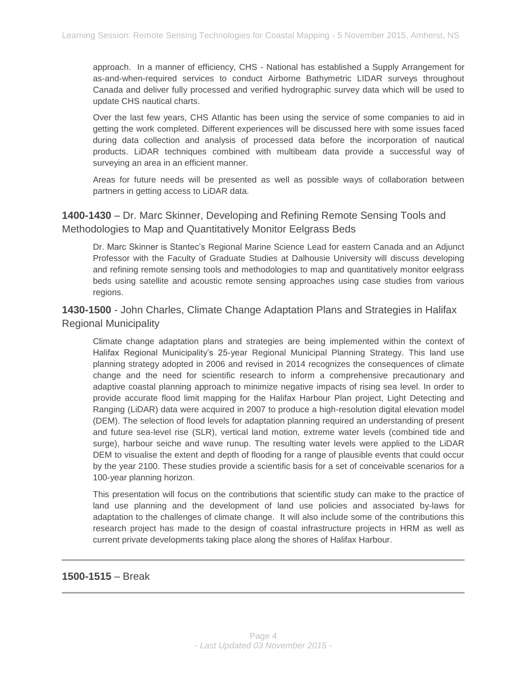approach. In a manner of efficiency, CHS - National has established a Supply Arrangement for as-and-when-required services to conduct Airborne Bathymetric LIDAR surveys throughout Canada and deliver fully processed and verified hydrographic survey data which will be used to update CHS nautical charts.

Over the last few years, CHS Atlantic has been using the service of some companies to aid in getting the work completed. Different experiences will be discussed here with some issues faced during data collection and analysis of processed data before the incorporation of nautical products. LiDAR techniques combined with multibeam data provide a successful way of surveying an area in an efficient manner.

Areas for future needs will be presented as well as possible ways of collaboration between partners in getting access to LiDAR data.

# **1400-1430** – Dr. Marc Skinner, Developing and Refining Remote Sensing Tools and Methodologies to Map and Quantitatively Monitor Eelgrass Beds

Dr. Marc Skinner is Stantec's Regional Marine Science Lead for eastern Canada and an Adjunct Professor with the Faculty of Graduate Studies at Dalhousie University will discuss developing and refining remote sensing tools and methodologies to map and quantitatively monitor eelgrass beds using satellite and acoustic remote sensing approaches using case studies from various regions.

# **1430-1500** - John Charles, Climate Change Adaptation Plans and Strategies in Halifax Regional Municipality

Climate change adaptation plans and strategies are being implemented within the context of Halifax Regional Municipality's 25-year Regional Municipal Planning Strategy. This land use planning strategy adopted in 2006 and revised in 2014 recognizes the consequences of climate change and the need for scientific research to inform a comprehensive precautionary and adaptive coastal planning approach to minimize negative impacts of rising sea level. In order to provide accurate flood limit mapping for the Halifax Harbour Plan project, Light Detecting and Ranging (LiDAR) data were acquired in 2007 to produce a high-resolution digital elevation model (DEM). The selection of flood levels for adaptation planning required an understanding of present and future sea-level rise (SLR), vertical land motion, extreme water levels (combined tide and surge), harbour seiche and wave runup. The resulting water levels were applied to the LiDAR DEM to visualise the extent and depth of flooding for a range of plausible events that could occur by the year 2100. These studies provide a scientific basis for a set of conceivable scenarios for a 100-year planning horizon.

This presentation will focus on the contributions that scientific study can make to the practice of land use planning and the development of land use policies and associated by-laws for adaptation to the challenges of climate change. It will also include some of the contributions this research project has made to the design of coastal infrastructure projects in HRM as well as current private developments taking place along the shores of Halifax Harbour.

#### **1500-1515** – Break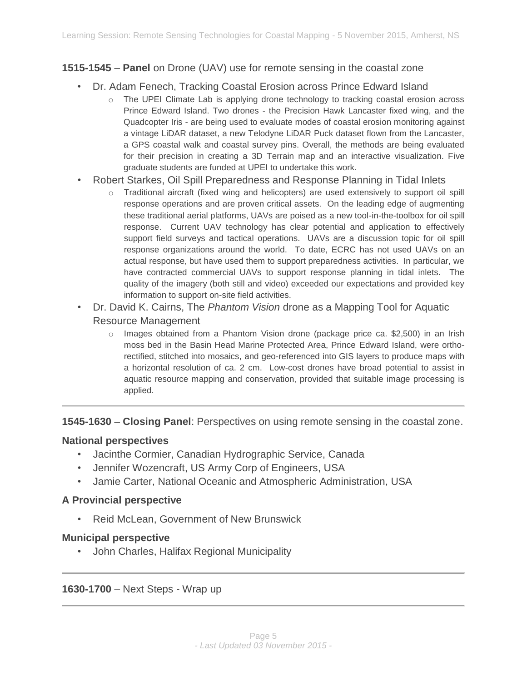# **1515-1545** – **Panel** on Drone (UAV) use for remote sensing in the coastal zone

- Dr. Adam Fenech, Tracking Coastal Erosion across Prince Edward Island
	- o The UPEI Climate Lab is applying drone technology to tracking coastal erosion across Prince Edward Island. Two drones - the Precision Hawk Lancaster fixed wing, and the Quadcopter Iris - are being used to evaluate modes of coastal erosion monitoring against a vintage LiDAR dataset, a new Telodyne LiDAR Puck dataset flown from the Lancaster, a GPS coastal walk and coastal survey pins. Overall, the methods are being evaluated for their precision in creating a 3D Terrain map and an interactive visualization. Five graduate students are funded at UPEI to undertake this work.
- Robert Starkes, Oil Spill Preparedness and Response Planning in Tidal Inlets
	- o Traditional aircraft (fixed wing and helicopters) are used extensively to support oil spill response operations and are proven critical assets. On the leading edge of augmenting these traditional aerial platforms, UAVs are poised as a new tool-in-the-toolbox for oil spill response. Current UAV technology has clear potential and application to effectively support field surveys and tactical operations. UAVs are a discussion topic for oil spill response organizations around the world. To date, ECRC has not used UAVs on an actual response, but have used them to support preparedness activities. In particular, we have contracted commercial UAVs to support response planning in tidal inlets. The quality of the imagery (both still and video) exceeded our expectations and provided key information to support on-site field activities.
- Dr. David K. Cairns, The *Phantom Vision* drone as a Mapping Tool for Aquatic Resource Management
	- $\circ$  Images obtained from a Phantom Vision drone (package price ca. \$2,500) in an Irish moss bed in the Basin Head Marine Protected Area, Prince Edward Island, were orthorectified, stitched into mosaics, and geo-referenced into GIS layers to produce maps with a horizontal resolution of ca. 2 cm. Low-cost drones have broad potential to assist in aquatic resource mapping and conservation, provided that suitable image processing is applied.

**1545-1630** – **Closing Panel**: Perspectives on using remote sensing in the coastal zone.

#### **National perspectives**

- Jacinthe Cormier, Canadian Hydrographic Service, Canada
- Jennifer Wozencraft, US Army Corp of Engineers, USA
- Jamie Carter, National Oceanic and Atmospheric Administration, USA

## **A Provincial perspective**

• Reid McLean, Government of New Brunswick

#### **Municipal perspective**

• John Charles, Halifax Regional Municipality

**1630-1700** – Next Steps - Wrap up